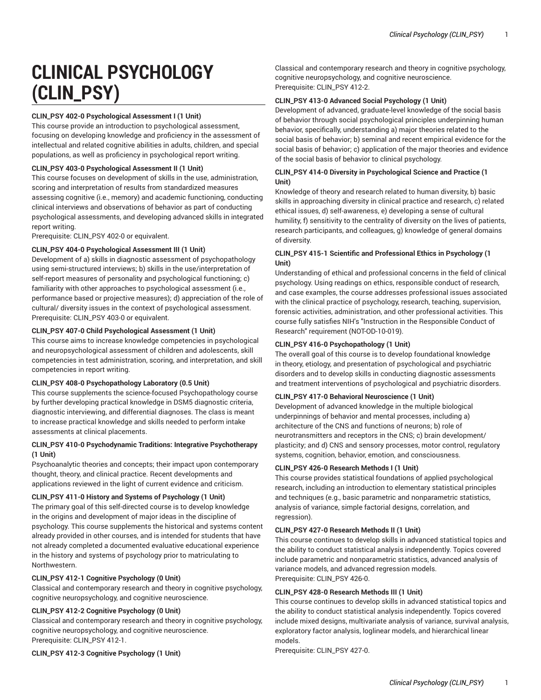# **CLINICAL PSYCHOLOGY (CLIN\_PSY)**

#### **CLIN\_PSY 402-0 Psychological Assessment I (1 Unit)**

This course provide an introduction to psychological assessment, focusing on developing knowledge and proficiency in the assessment of intellectual and related cognitive abilities in adults, children, and special populations, as well as proficiency in psychological report writing.

#### **CLIN\_PSY 403-0 Psychological Assessment II (1 Unit)**

This course focuses on development of skills in the use, administration, scoring and interpretation of results from standardized measures assessing cognitive (i.e., memory) and academic functioning, conducting clinical interviews and observations of behavior as part of conducting psychological assessments, and developing advanced skills in integrated report writing.

Prerequisite: CLIN\_PSY 402-0 or equivalent.

#### **CLIN\_PSY 404-0 Psychological Assessment III (1 Unit)**

Development of a) skills in diagnostic assessment of psychopathology using semi-structured interviews; b) skills in the use/interpretation of self-report measures of personality and psychological functioning; c) familiarity with other approaches to psychological assessment (i.e., performance based or projective measures); d) appreciation of the role of cultural/ diversity issues in the context of psychological assessment. Prerequisite: CLIN\_PSY 403-0 or equivalent.

#### **CLIN\_PSY 407-0 Child Psychological Assessment (1 Unit)**

This course aims to increase knowledge competencies in psychological and neuropsychological assessment of children and adolescents, skill competencies in test administration, scoring, and interpretation, and skill competencies in report writing.

#### **CLIN\_PSY 408-0 Psychopathology Laboratory (0.5 Unit)**

This course supplements the science-focused Psychopathology course by further developing practical knowledge in DSM5 diagnostic criteria, diagnostic interviewing, and differential diagnoses. The class is meant to increase practical knowledge and skills needed to perform intake assessments at clinical placements.

#### **CLIN\_PSY 410-0 Psychodynamic Traditions: Integrative Psychotherapy (1 Unit)**

Psychoanalytic theories and concepts; their impact upon contemporary thought, theory, and clinical practice. Recent developments and applications reviewed in the light of current evidence and criticism.

#### **CLIN\_PSY 411-0 History and Systems of Psychology (1 Unit)**

The primary goal of this self-directed course is to develop knowledge in the origins and development of major ideas in the discipline of psychology. This course supplements the historical and systems content already provided in other courses, and is intended for students that have not already completed a documented evaluative educational experience in the history and systems of psychology prior to matriculating to Northwestern.

#### **CLIN\_PSY 412-1 Cognitive Psychology (0 Unit)**

Classical and contemporary research and theory in cognitive psychology, cognitive neuropsychology, and cognitive neuroscience.

#### **CLIN\_PSY 412-2 Cognitive Psychology (0 Unit)**

Classical and contemporary research and theory in cognitive psychology, cognitive neuropsychology, and cognitive neuroscience. Prerequisite: CLIN\_PSY 412-1.

**CLIN\_PSY 412-3 Cognitive Psychology (1 Unit)**

Classical and contemporary research and theory in cognitive psychology, cognitive neuropsychology, and cognitive neuroscience. Prerequisite: CLIN\_PSY 412-2.

#### **CLIN\_PSY 413-0 Advanced Social Psychology (1 Unit)**

Development of advanced, graduate-level knowledge of the social basis of behavior through social psychological principles underpinning human behavior, specifically, understanding a) major theories related to the social basis of behavior; b) seminal and recent empirical evidence for the social basis of behavior; c) application of the major theories and evidence of the social basis of behavior to clinical psychology.

#### **CLIN\_PSY 414-0 Diversity in Psychological Science and Practice (1 Unit)**

Knowledge of theory and research related to human diversity, b) basic skills in approaching diversity in clinical practice and research, c) related ethical issues, d) self-awareness, e) developing a sense of cultural humility, f) sensitivity to the centrality of diversity on the lives of patients, research participants, and colleagues, g) knowledge of general domains of diversity.

# **CLIN\_PSY 415-1 Scientific and Professional Ethics in Psychology (1 Unit)**

Understanding of ethical and professional concerns in the field of clinical psychology. Using readings on ethics, responsible conduct of research, and case examples, the course addresses professional issues associated with the clinical practice of psychology, research, teaching, supervision, forensic activities, administration, and other professional activities. This course fully satisfies NIH's "Instruction in the Responsible Conduct of Research" requirement (NOT-OD-10-019).

# **CLIN\_PSY 416-0 Psychopathology (1 Unit)**

The overall goal of this course is to develop foundational knowledge in theory, etiology, and presentation of psychological and psychiatric disorders and to develop skills in conducting diagnostic assessments and treatment interventions of psychological and psychiatric disorders.

#### **CLIN\_PSY 417-0 Behavioral Neuroscience (1 Unit)**

Development of advanced knowledge in the multiple biological underpinnings of behavior and mental processes, including a) architecture of the CNS and functions of neurons; b) role of neurotransmitters and receptors in the CNS; c) brain development/ plasticity; and d) CNS and sensory processes, motor control, regulatory systems, cognition, behavior, emotion, and consciousness.

#### **CLIN\_PSY 426-0 Research Methods I (1 Unit)**

This course provides statistical foundations of applied psychological research, including an introduction to elementary statistical principles and techniques (e.g., basic parametric and nonparametric statistics, analysis of variance, simple factorial designs, correlation, and regression).

#### **CLIN\_PSY 427-0 Research Methods II (1 Unit)**

This course continues to develop skills in advanced statistical topics and the ability to conduct statistical analysis independently. Topics covered include parametric and nonparametric statistics, advanced analysis of variance models, and advanced regression models. Prerequisite: CLIN\_PSY 426-0.

#### **CLIN\_PSY 428-0 Research Methods III (1 Unit)**

This course continues to develop skills in advanced statistical topics and the ability to conduct statistical analysis independently. Topics covered include mixed designs, multivariate analysis of variance, survival analysis, exploratory factor analysis, loglinear models, and hierarchical linear models.

Prerequisite: CLIN\_PSY 427-0.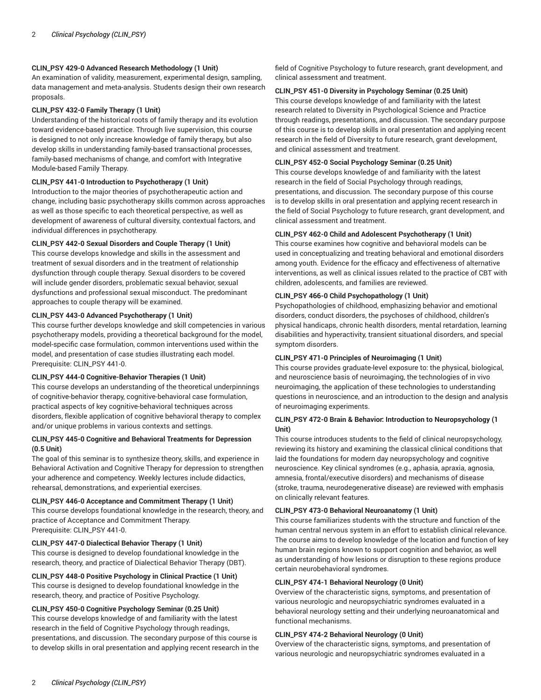# **CLIN\_PSY 429-0 Advanced Research Methodology (1 Unit)**

An examination of validity, measurement, experimental design, sampling, data management and meta-analysis. Students design their own research proposals.

#### **CLIN\_PSY 432-0 Family Therapy (1 Unit)**

Understanding of the historical roots of family therapy and its evolution toward evidence-based practice. Through live supervision, this course is designed to not only increase knowledge of family therapy, but also develop skills in understanding family-based transactional processes, family-based mechanisms of change, and comfort with Integrative Module-based Family Therapy.

#### **CLIN\_PSY 441-0 Introduction to Psychotherapy (1 Unit)**

Introduction to the major theories of psychotherapeutic action and change, including basic psychotherapy skills common across approaches as well as those specific to each theoretical perspective, as well as development of awareness of cultural diversity, contextual factors, and individual differences in psychotherapy.

# **CLIN\_PSY 442-0 Sexual Disorders and Couple Therapy (1 Unit)**

This course develops knowledge and skills in the assessment and treatment of sexual disorders and in the treatment of relationship dysfunction through couple therapy. Sexual disorders to be covered will include gender disorders, problematic sexual behavior, sexual dysfunctions and professional sexual misconduct. The predominant approaches to couple therapy will be examined.

#### **CLIN\_PSY 443-0 Advanced Psychotherapy (1 Unit)**

This course further develops knowledge and skill competencies in various psychotherapy models, providing a theoretical background for the model, model-specific case formulation, common interventions used within the model, and presentation of case studies illustrating each model. Prerequisite: CLIN\_PSY 441-0.

#### **CLIN\_PSY 444-0 Cognitive-Behavior Therapies (1 Unit)**

This course develops an understanding of the theoretical underpinnings of cognitive-behavior therapy, cognitive-behavioral case formulation, practical aspects of key cognitive-behavioral techniques across disorders, flexible application of cognitive behavioral therapy to complex and/or unique problems in various contexts and settings.

# **CLIN\_PSY 445-0 Cognitive and Behavioral Treatments for Depression (0.5 Unit)**

The goal of this seminar is to synthesize theory, skills, and experience in Behavioral Activation and Cognitive Therapy for depression to strengthen your adherence and competency. Weekly lectures include didactics, rehearsal, demonstrations, and experiential exercises.

# **CLIN\_PSY 446-0 Acceptance and Commitment Therapy (1 Unit)**

This course develops foundational knowledge in the research, theory, and practice of Acceptance and Commitment Therapy. Prerequisite: CLIN\_PSY 441-0.

#### **CLIN\_PSY 447-0 Dialectical Behavior Therapy (1 Unit)**

This course is designed to develop foundational knowledge in the research, theory, and practice of Dialectical Behavior Therapy (DBT).

#### **CLIN\_PSY 448-0 Positive Psychology in Clinical Practice (1 Unit)** This course is designed to develop foundational knowledge in the

research, theory, and practice of Positive Psychology.

# **CLIN\_PSY 450-0 Cognitive Psychology Seminar (0.25 Unit)**

This course develops knowledge of and familiarity with the latest research in the field of Cognitive Psychology through readings, presentations, and discussion. The secondary purpose of this course is to develop skills in oral presentation and applying recent research in the field of Cognitive Psychology to future research, grant development, and clinical assessment and treatment.

#### **CLIN\_PSY 451-0 Diversity in Psychology Seminar (0.25 Unit)**

This course develops knowledge of and familiarity with the latest research related to Diversity in Psychological Science and Practice through readings, presentations, and discussion. The secondary purpose of this course is to develop skills in oral presentation and applying recent research in the field of Diversity to future research, grant development, and clinical assessment and treatment.

#### **CLIN\_PSY 452-0 Social Psychology Seminar (0.25 Unit)**

This course develops knowledge of and familiarity with the latest research in the field of Social Psychology through readings, presentations, and discussion. The secondary purpose of this course is to develop skills in oral presentation and applying recent research in the field of Social Psychology to future research, grant development, and clinical assessment and treatment.

# **CLIN\_PSY 462-0 Child and Adolescent Psychotherapy (1 Unit)**

This course examines how cognitive and behavioral models can be used in conceptualizing and treating behavioral and emotional disorders among youth. Evidence for the efficacy and effectiveness of alternative interventions, as well as clinical issues related to the practice of CBT with children, adolescents, and families are reviewed.

# **CLIN\_PSY 466-0 Child Psychopathology (1 Unit)**

Psychopathologies of childhood, emphasizing behavior and emotional disorders, conduct disorders, the psychoses of childhood, children's physical handicaps, chronic health disorders, mental retardation, learning disabilities and hyperactivity, transient situational disorders, and special symptom disorders.

#### **CLIN\_PSY 471-0 Principles of Neuroimaging (1 Unit)**

This course provides graduate-level exposure to: the physical, biological, and neuroscience basis of neuroimaging, the technologies of in vivo neuroimaging, the application of these technologies to understanding questions in neuroscience, and an introduction to the design and analysis of neuroimaging experiments.

#### **CLIN\_PSY 472-0 Brain & Behavior: Introduction to Neuropsychology (1 Unit)**

This course introduces students to the field of clinical neuropsychology, reviewing its history and examining the classical clinical conditions that laid the foundations for modern day neuropsychology and cognitive neuroscience. Key clinical syndromes (e.g., aphasia, apraxia, agnosia, amnesia, frontal/executive disorders) and mechanisms of disease (stroke, trauma, neurodegenerative disease) are reviewed with emphasis on clinically relevant features.

#### **CLIN\_PSY 473-0 Behavioral Neuroanatomy (1 Unit)**

This course familiarizes students with the structure and function of the human central nervous system in an effort to establish clinical relevance. The course aims to develop knowledge of the location and function of key human brain regions known to support cognition and behavior, as well as understanding of how lesions or disruption to these regions produce certain neurobehavioral syndromes.

# **CLIN\_PSY 474-1 Behavioral Neurology (0 Unit)**

Overview of the characteristic signs, symptoms, and presentation of various neurologic and neuropsychiatric syndromes evaluated in a behavioral neurology setting and their underlying neuroanatomical and functional mechanisms.

#### **CLIN\_PSY 474-2 Behavioral Neurology (0 Unit)**

Overview of the characteristic signs, symptoms, and presentation of various neurologic and neuropsychiatric syndromes evaluated in a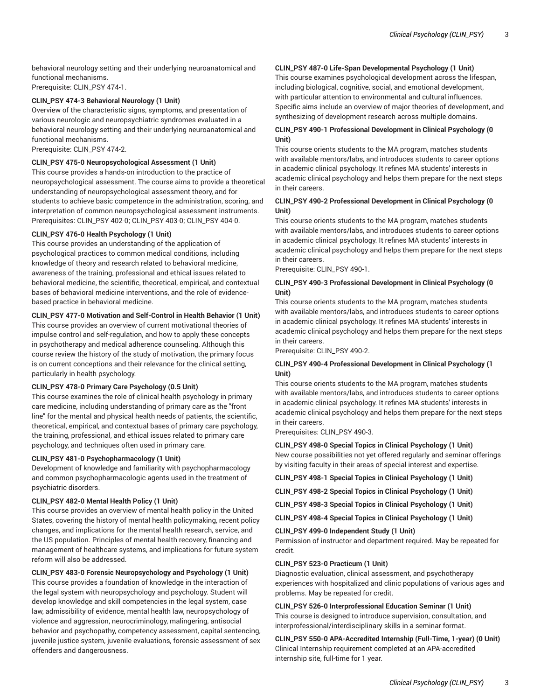behavioral neurology setting and their underlying neuroanatomical and functional mechanisms.

Prerequisite: CLIN\_PSY 474-1.

# **CLIN\_PSY 474-3 Behavioral Neurology (1 Unit)**

Overview of the characteristic signs, symptoms, and presentation of various neurologic and neuropsychiatric syndromes evaluated in a behavioral neurology setting and their underlying neuroanatomical and functional mechanisms.

Prerequisite: CLIN\_PSY 474-2.

#### **CLIN\_PSY 475-0 Neuropsychological Assessment (1 Unit)**

This course provides a hands-on introduction to the practice of neuropsychological assessment. The course aims to provide a theoretical understanding of neuropsychological assessment theory, and for students to achieve basic competence in the administration, scoring, and interpretation of common neuropsychological assessment instruments. Prerequisites: CLIN\_PSY 402-0; CLIN\_PSY 403-0; CLIN\_PSY 404-0.

#### **CLIN\_PSY 476-0 Health Psychology (1 Unit)**

This course provides an understanding of the application of psychological practices to common medical conditions, including knowledge of theory and research related to behavioral medicine, awareness of the training, professional and ethical issues related to behavioral medicine, the scientific, theoretical, empirical, and contextual bases of behavioral medicine interventions, and the role of evidencebased practice in behavioral medicine.

#### **CLIN\_PSY 477-0 Motivation and Self-Control in Health Behavior (1 Unit)**

This course provides an overview of current motivational theories of impulse control and self-regulation, and how to apply these concepts in psychotherapy and medical adherence counseling. Although this course review the history of the study of motivation, the primary focus is on current conceptions and their relevance for the clinical setting, particularly in health psychology.

#### **CLIN\_PSY 478-0 Primary Care Psychology (0.5 Unit)**

This course examines the role of clinical health psychology in primary care medicine, including understanding of primary care as the "front line" for the mental and physical health needs of patients, the scientific, theoretical, empirical, and contextual bases of primary care psychology, the training, professional, and ethical issues related to primary care psychology, and techniques often used in primary care.

#### **CLIN\_PSY 481-0 Psychopharmacology (1 Unit)**

Development of knowledge and familiarity with psychopharmacology and common psychopharmacologic agents used in the treatment of psychiatric disorders.

#### **CLIN\_PSY 482-0 Mental Health Policy (1 Unit)**

This course provides an overview of mental health policy in the United States, covering the history of mental health policymaking, recent policy changes, and implications for the mental health research, service, and the US population. Principles of mental health recovery, financing and management of healthcare systems, and implications for future system reform will also be addressed.

#### **CLIN\_PSY 483-0 Forensic Neuropsychology and Psychology (1 Unit)**

This course provides a foundation of knowledge in the interaction of the legal system with neuropsychology and psychology. Student will develop knowledge and skill competencies in the legal system, case law, admissibility of evidence, mental health law, neuropsychology of violence and aggression, neurocriminology, malingering, antisocial behavior and psychopathy, competency assessment, capital sentencing, juvenile justice system, juvenile evaluations, forensic assessment of sex offenders and dangerousness.

# **CLIN\_PSY 487-0 Life-Span Developmental Psychology (1 Unit)**

This course examines psychological development across the lifespan, including biological, cognitive, social, and emotional development, with particular attention to environmental and cultural influences. Specific aims include an overview of major theories of development, and synthesizing of development research across multiple domains.

# **CLIN\_PSY 490-1 Professional Development in Clinical Psychology (0 Unit)**

This course orients students to the MA program, matches students with available mentors/labs, and introduces students to career options in academic clinical psychology. It refines MA students' interests in academic clinical psychology and helps them prepare for the next steps in their careers.

# **CLIN\_PSY 490-2 Professional Development in Clinical Psychology (0 Unit)**

This course orients students to the MA program, matches students with available mentors/labs, and introduces students to career options in academic clinical psychology. It refines MA students' interests in academic clinical psychology and helps them prepare for the next steps in their careers.

Prerequisite: CLIN\_PSY 490-1.

#### **CLIN\_PSY 490-3 Professional Development in Clinical Psychology (0 Unit)**

This course orients students to the MA program, matches students with available mentors/labs, and introduces students to career options in academic clinical psychology. It refines MA students' interests in academic clinical psychology and helps them prepare for the next steps in their careers.

Prerequisite: CLIN\_PSY 490-2.

#### **CLIN\_PSY 490-4 Professional Development in Clinical Psychology (1 Unit)**

This course orients students to the MA program, matches students with available mentors/labs, and introduces students to career options in academic clinical psychology. It refines MA students' interests in academic clinical psychology and helps them prepare for the next steps in their careers.

Prerequisites: CLIN\_PSY 490-3.

#### **CLIN\_PSY 498-0 Special Topics in Clinical Psychology (1 Unit)** New course possibilities not yet offered regularly and seminar offerings by visiting faculty in their areas of special interest and expertise.

**CLIN\_PSY 498-1 Special Topics in Clinical Psychology (1 Unit)**

**CLIN\_PSY 498-2 Special Topics in Clinical Psychology (1 Unit)**

**CLIN\_PSY 498-3 Special Topics in Clinical Psychology (1 Unit)**

**CLIN\_PSY 498-4 Special Topics in Clinical Psychology (1 Unit)**

**CLIN\_PSY 499-0 Independent Study (1 Unit)** 

Permission of instructor and department required. May be repeated for credit.

#### **CLIN\_PSY 523-0 Practicum (1 Unit)**

Diagnostic evaluation, clinical assessment, and psychotherapy experiences with hospitalized and clinic populations of various ages and problems. May be repeated for credit.

#### **CLIN\_PSY 526-0 Interprofessional Education Seminar (1 Unit)**

This course is designed to introduce supervision, consultation, and interprofessional/interdisciplinary skills in a seminar format.

**CLIN\_PSY 550-0 APA-Accredited Internship (Full-Time, 1-year) (0 Unit)** Clinical Internship requirement completed at an APA-accredited internship site, full-time for 1 year.